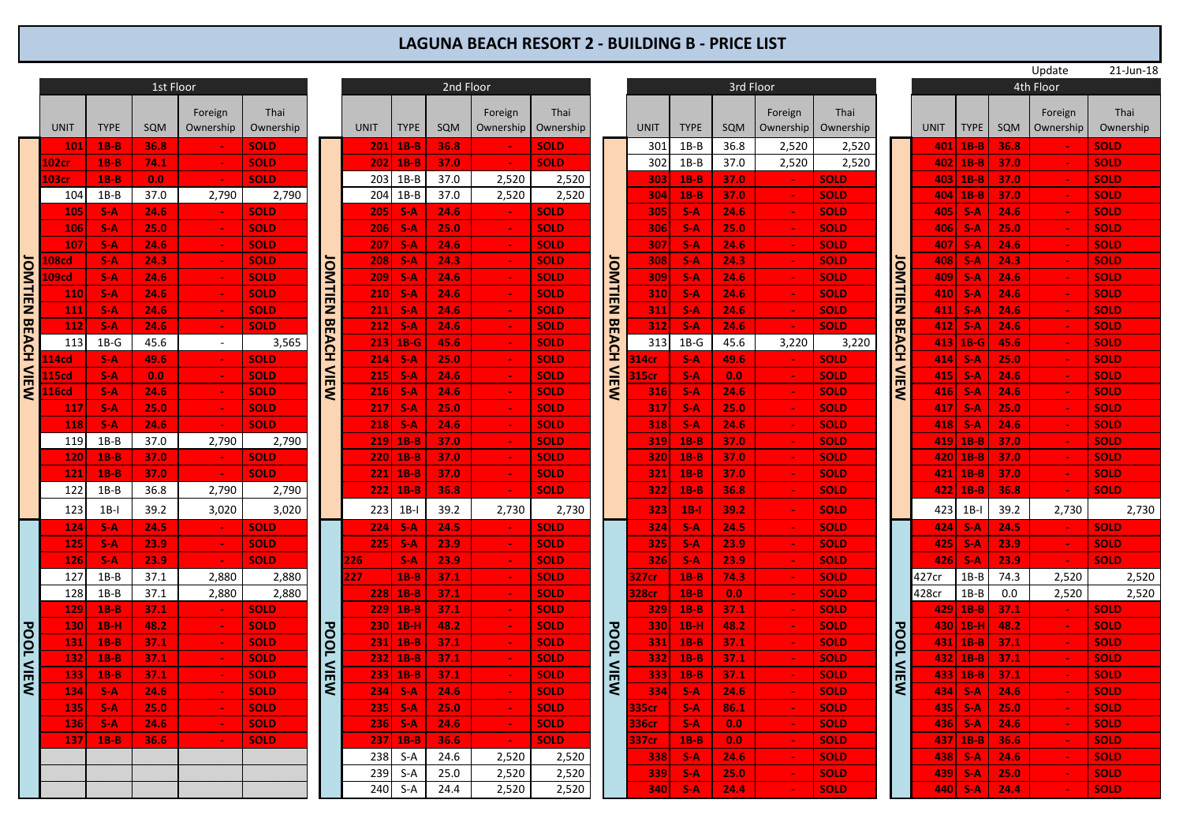## **LAGUNA BEACH RESORT 2 - BUILDING B - PRICE LIST**

|                           |                   |             |           |                |             |                    |             |             |      |            |             |                |              |             |           |                 |             |                  |             |              |      | Update         | 21-Jun-18   |  |
|---------------------------|-------------------|-------------|-----------|----------------|-------------|--------------------|-------------|-------------|------|------------|-------------|----------------|--------------|-------------|-----------|-----------------|-------------|------------------|-------------|--------------|------|----------------|-------------|--|
|                           |                   |             | 1st Floor |                |             |                    | 2nd Floor   |             |      |            |             |                |              |             | 3rd Floor |                 |             |                  | 4th Floor   |              |      |                |             |  |
|                           |                   |             |           |                |             |                    |             |             |      |            |             |                |              |             |           |                 |             |                  |             |              |      |                |             |  |
|                           |                   |             |           | Foreign        | Thai        |                    |             |             |      | Foreign    | Thai        |                |              |             |           | Foreign         | Thai        |                  |             |              |      | Foreign        | Thai        |  |
|                           | <b>UNIT</b>       | <b>TYPE</b> | SQM       | Ownership      | Ownership   |                    | <b>UNIT</b> | <b>TYPE</b> | SQM  | Ownership  | Ownership   |                | <b>UNIT</b>  | <b>TYPE</b> | SQM       | Ownership       | Ownership   |                  | <b>UNIT</b> | <b>TYPE</b>  | SQM  | Ownership      | Ownership   |  |
|                           | 101               | $1B-B$      | 36.8      |                | <b>SOLD</b> |                    | 201         | $1B-B$      | 36.8 |            | <b>SOLD</b> |                | 301          | $1B-B$      | 36.8      | 2,520           | 2,520       |                  | 401         | $1B-B$       | 36.8 |                | <b>SOLD</b> |  |
|                           | 102cr             | $1B-B$      | 74.1      |                | <b>SOLD</b> |                    | 202         | $1B-B$      | 37.0 |            | <b>SOLD</b> |                | 302          | $1B-B$      | 37.0      | 2,520           | 2,520       |                  | 402         | $1B-B$       | 37.0 |                | <b>SOLD</b> |  |
|                           | 103 <sub>cr</sub> | $1B-B$      | 0.0       | $\sim$         | <b>SOLD</b> |                    | 203         | $1B-B$      | 37.0 | 2,520      | 2,520       |                | 303          | $1B-B$      | 37.0      | $\sim$          | <b>SOLD</b> |                  | 4031        | $1B-B$       | 37.0 | <b>Section</b> | <b>SOLD</b> |  |
|                           | 104               | $1B-B$      | 37.0      | 2,790          | 2,790       |                    | 204         | $1B-B$      | 37.0 | 2,520      | 2,520       |                | 304          | $1B-B$      | 37.0      | $\sim$          | <b>SOLD</b> |                  |             | 404 1B-B     | 37.0 |                | <b>SOLD</b> |  |
|                           | 105               | $S-A$       | 24.6      | $\sim$         | <b>SOLD</b> |                    | 205         | $S-A$       | 24.6 |            | <b>SOLD</b> |                | 305          | $S-A$       | 24.6      | $\sim$          | <b>SOLD</b> |                  | 405         | $S-A$        | 24.6 |                | SOLD        |  |
|                           | <b>106</b>        | $S-A$       | 25.0      | $\sim$         | <b>SOLD</b> |                    | 206         | $S-A$       | 25.0 |            | <b>SOLD</b> |                | 306          | $S-A$       | 25.0      | $\sim$          | <b>SOLD</b> |                  | 406         | $S-A$        | 25.0 | $\sim$         | <b>SOLD</b> |  |
|                           | 107               | $S-A$       | 24.6      | $\sim$         | <b>SOLD</b> |                    | 207         | $S-A$       | 24.6 |            | <b>SOLD</b> |                | 307          | $S-A$       | 24.6      | $\sim$          | <b>SOLD</b> |                  | 407         | $S-A$        | 24.6 | $\sim$         | <b>SOLD</b> |  |
|                           | .08cd             | $S-A$       | 24.3      | $\sim$         | <b>SOLD</b> |                    | 208         | $S-A$       | 24.3 |            | <b>SOLD</b> |                | 308          | $S-A$       | 24.3      | $\sim$          | <b>SOLD</b> |                  | 408         | $S-A$        | 24.3 |                | <b>SOLD</b> |  |
|                           | .09cd             | $S-A$       | 24.6      | $\sim$         | <b>SOLD</b> | JOMTIEN BEACH VIEW | 209         | $S-A$       | 24.6 |            | <b>SOLD</b> | <b>JOMTIEN</b> | 309          | $S-A$       | 24.6      | $\sim$          | <b>SOLD</b> | <b>IOMTIEN</b>   | 409         | $S-A$        | 24.6 | $\sim$         | <b>SOLD</b> |  |
|                           | <b>110</b>        | $S-A$       | 24.6      | $\sim$         | <b>SOLD</b> |                    | 210         | $S-A$       | 24.6 |            | <b>SOLD</b> |                | 310          | $S-A$       | 24.6      | $\sim$          | <b>SOLD</b> |                  | 410         | $S-A$        | 24.6 | $\sim$         | <b>SOLD</b> |  |
|                           | <b>111</b>        | $S-A$       | 24.6      | $\sim$         | <b>SOLD</b> |                    | 211         | $S-A$       | 24.6 |            | <b>SOLD</b> |                | <b>311</b>   | $S-A$       | 24.6      | $\sim$          | <b>SOLD</b> |                  |             | $411$ S-A    | 24.6 |                | <b>SOLD</b> |  |
|                           | 112               | $S-A$       | 24.6      | $\sim$         | <b>SOLD</b> |                    | 212         | $S-A$       | 24.6 |            | <b>SOLD</b> |                | 312          | $S-A$       | 24.6      | $\sim$          | <b>SOLD</b> |                  | 412         | $S-A$        | 24.6 | $\sim$         | <b>SOLD</b> |  |
|                           | 113               | $1B-G$      | 45.6      | $\sim$         | 3,565       |                    |             | $213$ 1B-G  | 45.6 |            | <b>SOLD</b> | <b>BEACH</b>   | 313          | $1B-G$      | 45.6      | 3,220           | 3,220       | <b>BEACH</b>     |             | $413$ 1B-G   | 45.6 | $\sim$         | <b>SOLD</b> |  |
|                           | .14cd             | $S-A$       | 49.6      | $\sim$         | <b>SOLD</b> |                    | 214         | $S-A$       | 25.0 |            | <b>SOLD</b> |                | 14cr         | $S-A$       | 49.6      | <b>Contract</b> | <b>SOLD</b> |                  |             | $414$ S-A    | 25.0 |                | <b>SOLD</b> |  |
|                           | 15cd              | $S-A$       | 0.0       | $\sim$         | <b>SOLD</b> |                    | 215         | $S-A$       | 24.6 |            | <b>SOLD</b> |                | 15cr         | $S-A$       | 0.0       | $\sim$          | <b>SOLD</b> |                  | 415         | -S-A         | 24.6 |                | <b>SOLD</b> |  |
| <b>JOMTIEN BEACH VIEW</b> | 16cd              | $S-A$       | 24.6      | $\sim$         | <b>SOLD</b> |                    | 216         | $S-A$       | 24.6 |            | <b>SOLD</b> | <b>VIEW</b>    | 316          | $S-A$       | 24.6      | $\sim$          | <b>SOLD</b> | <b>VIEW</b>      | 416         | -S-A         | 24.6 | $\sim$         | <b>SOLD</b> |  |
|                           | 117               | $S-A$       | 25.0      | $\sim$         | <b>SOLD</b> |                    | 217         | $S-A$       | 25.0 |            | <b>SOLD</b> |                | 317          | $S-A$       | 25.0      | <b>Section</b>  | <b>SOLD</b> |                  |             | 417   S-A    | 25.0 |                | <b>SOLD</b> |  |
|                           | 118               | $S-A$       | 24.6      | $\sim$         | <b>SOLD</b> |                    | 218         | $S-A$       | 24.6 |            | <b>SOLD</b> |                | 318          | $S-A$       | 24.6      | $\sim$          | <b>SOLD</b> |                  | 418         | $S-A$        | 24.6 | $\sim$         | <b>SOLD</b> |  |
|                           | 119               | $1B-B$      | 37.0      | 2,790          | 2,790       |                    | 219         | $1B-B$      | 37.0 |            | <b>SOLD</b> |                | 319          | $1B-B$      | 37.0      | $\sim$          | <b>SOLD</b> |                  |             | $419$   1B-B | 37.0 | $\sim$         | <b>SOLD</b> |  |
|                           | <b>120</b>        | $1B-B$      | 37.0      | <b>COL</b>     | <b>SOLD</b> |                    | 220         | $1B-B$      | 37.0 |            | <b>SOLD</b> |                | 320          | $1B-B$      | 37.0      |                 | <b>SOLD</b> |                  |             | 420 1B-B     | 37.0 |                | <b>SOLD</b> |  |
|                           | 121               | $1B-B$      | 37.0      |                | <b>SOLD</b> |                    | 221         | $1B-B$      | 37.0 |            | <b>SOLD</b> |                | 321          | $1B-B$      | 37.0      | $\sim$          | <b>SOLD</b> |                  |             | $421$   1B-B | 37.0 | $\sim$         | <b>SOLD</b> |  |
|                           | 122               | $1B-B$      | 36.8      | 2,790          | 2,790       |                    | 2221        | $1B-B$      | 36.8 |            | <b>SOLD</b> |                | 322          | $1B-B$      | 36.8      | $\sim$          | <b>SOLD</b> |                  |             | $422$   1B-B | 36.8 | $\sim$         | <b>SOLD</b> |  |
|                           |                   |             |           |                |             |                    |             |             |      |            |             |                |              |             |           |                 |             |                  |             |              |      |                |             |  |
|                           | 123               | $1B-I$      | 39.2      | 3,020          | 3,020       |                    | 223         | $1B-1$      | 39.2 | 2,730      | 2,730       |                | 323          | $1B-1$      | 39.2      | $\sim$          | <b>SOLD</b> |                  | 423         | $1B-I$       | 39.2 | 2,730          | 2,730       |  |
|                           | 124               | $S-A$       | 24.5      | $\sim$ $\sim$  | <b>SOLD</b> |                    | 224         | $S-A$       | 24.5 |            | <b>SOLD</b> |                | 324          | $S-A$       | 24.5      | $\sim$          | <b>SOLD</b> |                  |             | $ 424 $ S-A  | 24.5 | $\sim$ $-$     | <b>SOLD</b> |  |
|                           | <b>125</b>        | $S-A$       | 23.9      | $\sim$         | <b>SOLD</b> |                    | 225         | $S-A$       | 23.9 |            | <b>SOLD</b> |                | 325          | $S-A$       | 23.9      |                 | <b>SOLD</b> |                  | 425         | $S-A$        | 23.9 | $\sim$         | <b>SOLD</b> |  |
|                           | 126               | $S-A$       | 23.9      | $\sim$         | <b>SOLD</b> |                    | 226         | $S-A$       | 23.9 |            | <b>SOLD</b> |                | 326          | $S-A$       | 23.9      | $\sim$          | <b>SOLD</b> |                  | 4261        | $S-A$        | 23.9 | $\sim$         | <b>SOLD</b> |  |
|                           | 127               | $1B-B$      | 37.1      | 2,880          | 2,880       |                    | 27          | $1B-B$      | 37.1 |            | <b>SOLD</b> |                | <b>327cr</b> | $1B-B$      | 74.3      | $\sim$          | <b>SOLD</b> |                  | 427cr       | $1B-B$       | 74.3 | 2,520          | 2,520       |  |
|                           | 128               | $1B-B$      | 37.1      | 2,880          | 2,880       |                    | 228         | $1B-B$      | 37.1 |            | <b>SOLD</b> |                | 328cr        | $1B-B$      | 0.0       | <b>Section</b>  | <b>SOLD</b> |                  | 428cr       | $1B-B$       | 0.0  | 2,520          | 2,520       |  |
|                           | 129               | $1B-B$      | 37.1      |                | <b>SOLD</b> |                    | 229         | $1B-B$      | 37.1 |            | <b>SOLD</b> |                | 329          | $1B-B$      | 37.1      | $\sim$          | <b>SOLD</b> |                  |             | $429$ 1B-B   | 37.1 |                | <b>SOLD</b> |  |
|                           | 130               | $1B-H$      | 48.2      | $\sim$         | <b>SOLD</b> |                    | 230         | $1B-H$      | 48.2 |            | <b>SOLD</b> | <b>POOL</b>    | 330          | $1B-H$      | 48.2      | $\sim$          | <b>SOLD</b> |                  |             | 430 1B-H     | 48.2 | $\sim$         | <b>SOLD</b> |  |
| <b>POOL VIEW</b>          | <b>131</b>        | $1B-B$      | 37.1      | <b>Section</b> | <b>SOLD</b> | <b>POOL VIEW</b>   |             | $231$ 1B-B  | 37.1 |            | <b>SOLD</b> |                | 331          | $1B-B$      | 37.1      | $\sim$          | <b>SOLD</b> |                  |             | $431$ 1B-B   | 37.1 | $\sim$         | <b>SOLD</b> |  |
|                           | 132               | $1B-B$      | 37.1      | $\sim$         | <b>SOLD</b> |                    | 232         | $1B-B$      | 37.1 |            | <b>SOLD</b> |                | 332          | $1B-B$      | 37.1      | $\sim$          | <b>SOLD</b> |                  |             | 432 1B-B     | 37.1 | <b>Section</b> | <b>SOLD</b> |  |
|                           | 133               | $1B-B$      | 37.1      | $\sim$         | <b>SOLD</b> |                    | 233         | $1B-B$      | 37.1 |            | <b>SOLD</b> | <b>VIEW</b>    | 333          | $1B-B$      | 37.1      | $\sim$          | <b>SOLD</b> | <b>POOL VIEW</b> |             | $433$   1B-B | 37.1 | $\sim$         | <b>SOLD</b> |  |
|                           | 134               | $S-A$       | 24.6      | <b>COL</b>     | <b>SOLD</b> |                    | 234         | $S-A$       | 24.6 |            | <b>SOLD</b> |                | 334          | $S-A$       | 24.6      |                 | <b>SOLD</b> |                  |             | $434$ S-A    | 24.6 |                | <b>SOLD</b> |  |
|                           | 135               | $S-A$       | 25.0      | $\sim$         | <b>SOLD</b> |                    | 235         | $S-A$       | 25.0 |            | <b>SOLD</b> |                | 335cr        | $S-A$       | 86.1      | $\sim$          | <b>SOLD</b> |                  | 4351        | $S-A$        | 25.0 | $\sim$         | <b>SOLD</b> |  |
|                           | 136               | $S-A$       | 24.6      | $\sim$ $-$     | <b>SOLD</b> |                    | 236         | $S-A$       | 24.6 | $\sim$ $-$ | <b>SOLD</b> |                | <b>36cr</b>  | $S-A$       | 0.0       | $\sim$          | <b>SOLD</b> |                  | 4361        | -S-A         | 24.6 | $\sim$         | <b>SOLD</b> |  |
|                           | 137               | $1B-B$      | 36.6      |                | <b>SOLD</b> |                    | 237         | $1B-B$      | 36.6 |            | <b>SOLD</b> |                | 337cr        | $1B-B$      | 0.0       |                 | <b>SOLD</b> |                  |             | $437$   1B-B | 36.6 |                | <b>SOLD</b> |  |
|                           |                   |             |           |                |             |                    | 238         | S-A         | 24.6 | 2,520      | 2,520       |                | 338          | $S-A$       | 24.6      | $\sim$          | <b>SOLD</b> |                  | 438         | $S-A$        | 24.6 |                | <b>SOLD</b> |  |
|                           |                   |             |           |                |             |                    | 239         | $S-A$       | 25.0 | 2,520      | 2,520       |                | 339          | $S-A$       | 25.0      | $\sim$          | <b>SOLD</b> |                  | 439         | <b>S-A</b>   | 25.0 | $\sim$         | <b>SOLD</b> |  |
|                           |                   |             |           |                |             |                    | 240         | $S-A$       | 24.4 | 2,520      | 2,520       |                | 340          | $S-A$       | 24.4      |                 | <b>SOLD</b> |                  | 440         | $S-A$        | 24.4 |                | <b>SOLD</b> |  |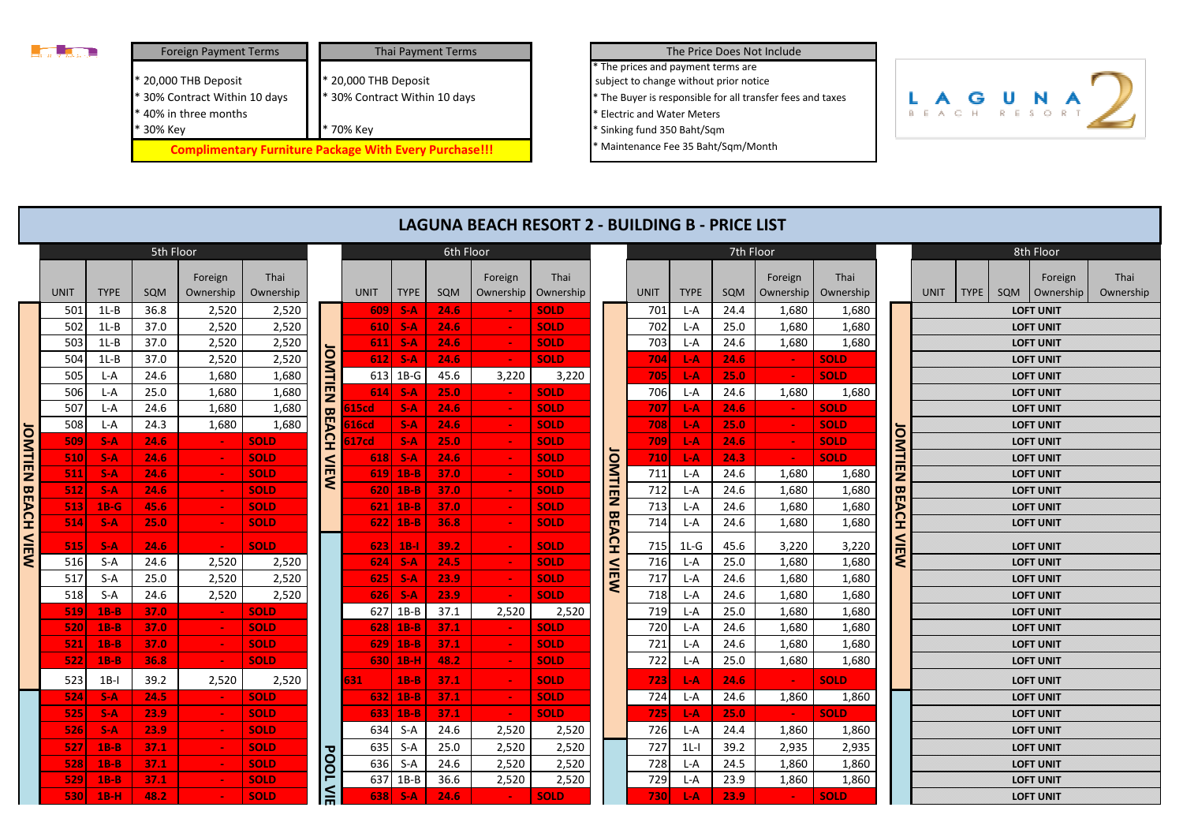

| <b>Foreign Payment Terms</b>                                                   | <b>Thai Payment Terms</b>                                     |
|--------------------------------------------------------------------------------|---------------------------------------------------------------|
| * 20,000 THB Deposit<br>* 30% Contract Within 10 days<br>* 40% in three months | * 20,000 THB Deposit<br>* 30% Contract Within 10 days         |
| * 30% Key                                                                      | * 70% Key                                                     |
|                                                                                | <b>Complimentary Furniture Package With Every Purchase!!!</b> |

## The Price Does Not Include

\* The Buyer is responsible for all transfer fees and taxes \* The prices and payment terms are subject to change without prior notice

\* Electric and Water Meters

\* Sinking fund 350 Baht/Sqm

\* Maintenance Fee 35 Baht/Sqm/Month



|                      |             |             |            |                      |                   |                         |             |              |           |                      | LAGUNA BEACH RESORT 2 - BUILDING B - PRICE LIST |                |             |             |            |                      |                   |               |                  |                                      |                                      |                      |                   |  |  |  |  |  |  |
|----------------------|-------------|-------------|------------|----------------------|-------------------|-------------------------|-------------|--------------|-----------|----------------------|-------------------------------------------------|----------------|-------------|-------------|------------|----------------------|-------------------|---------------|------------------|--------------------------------------|--------------------------------------|----------------------|-------------------|--|--|--|--|--|--|
| 5th Floor            |             |             |            |                      |                   |                         |             |              | 6th Floor |                      |                                                 |                |             |             | 7th Floor  |                      |                   |               |                  |                                      |                                      | 8th Floor            |                   |  |  |  |  |  |  |
|                      | <b>UNIT</b> | <b>TYPE</b> | <b>SQM</b> | Foreign<br>Ownership | Thai<br>Ownership |                         | UNIT        | <b>TYPE</b>  | SQM       | Foreign<br>Ownership | Thai<br>Ownership                               |                | <b>UNIT</b> | <b>TYPE</b> | <b>SQM</b> | Foreign<br>Ownership | Thai<br>Ownership |               | <b>UNIT</b>      | <b>TYPE</b>                          | SQM                                  | Foreign<br>Ownership | Thai<br>Ownership |  |  |  |  |  |  |
|                      | 501         | $1L-B$      | 36.8       | 2,520                | 2,520             |                         | 609         | $S-A$        | 24.6      |                      | <b>SOLD</b>                                     |                | 701         | L-A         | 24.4       | 1,680                | 1,680             |               |                  |                                      |                                      | <b>LOFT UNIT</b>     |                   |  |  |  |  |  |  |
|                      | 502         | $1L-B$      | 37.0       | 2,520                | 2,520             |                         | 610         | $S-A$        | 24.6      | $\sim$               | <b>SOLD</b>                                     |                | 702         | L-A         | 25.0       | 1,680                | 1,680             |               |                  | <b>LOFT UNIT</b><br><b>LOFT UNIT</b> |                                      |                      |                   |  |  |  |  |  |  |
|                      | 503         | $1L-B$      | 37.0       | 2,520                | 2,520             |                         | 611         | $S-A$        | 24.6      | $\sim$               | <b>SOLD</b>                                     |                | 703         | L-A         | 24.6       | 1,680                | 1,680             |               |                  |                                      |                                      |                      |                   |  |  |  |  |  |  |
|                      | 504         | $1L-B$      | 37.0       | 2,520                | 2,520             |                         | 612         | $S-A$        | 24.6      | $\sim$               | <b>SOLD</b>                                     |                | 704         | L-A         | 24.6       |                      | <b>SOLD</b>       |               |                  |                                      |                                      | <b>LOFT UNIT</b>     |                   |  |  |  |  |  |  |
|                      | 505         | L-A         | 24.6       | 1,680                | 1,680             |                         | 613         | $1B-G$       | 45.6      | 3,220                | 3,220                                           |                | 705         | L-A         | 25.0       | $\sim$               | <b>SOLD</b>       |               |                  |                                      | <b>LOFT UNIT</b><br><b>LOFT UNIT</b> |                      |                   |  |  |  |  |  |  |
|                      | 506         | L-A         | 25.0       | 1,680                | 1,680             | OMTIEN                  | 614         | $S-A$        | 25.0      |                      | <b>SOLD</b>                                     |                | 706         | L-A         | 24.6       | 1,680                | 1,680             |               |                  |                                      |                                      |                      |                   |  |  |  |  |  |  |
|                      | 507         | L-A         | 24.6       | 1,680                | 1,680             | $\mathbf{\overline{u}}$ | 515cd       | $S-A$        | 24.6      | $\sim$               | <b>SOLD</b>                                     |                | 707         | L-A         | 24.6       |                      | <b>SOLD</b>       |               |                  |                                      |                                      | <b>LOFT UNIT</b>     |                   |  |  |  |  |  |  |
|                      | 508         | L-A         | 24.3       | 1,680                | 1,680             | È                       | 516cd       | $S-A$        | 24.6      | $\sim$               | <b>SOLD</b>                                     |                | 708         | L-A         | 25.0       |                      | <b>SOLD</b>       |               |                  |                                      |                                      | <b>LOFT UNIT</b>     |                   |  |  |  |  |  |  |
| <b>JOMTIEN BEACH</b> | 509         | $S-A$       | 24.6       |                      | <b>SOLD</b>       | 오                       | 517cd       | $S-A$        | 25.0      | $\sim$               | <b>SOLD</b>                                     |                | 709         | L-A         | 24.6       |                      | <b>SOLD</b>       | <b>JOMTIE</b> |                  |                                      | <b>LOFT UNIT</b><br><b>LOFT UNIT</b> |                      |                   |  |  |  |  |  |  |
|                      | 510         | $S-A$       | 24.6       |                      | <b>SOLD</b>       | $\leq$                  | 618         | $S-A$        | 24.6      |                      | <b>SOLD</b>                                     | JOMTIE         | 710         | L-A         | 24.3       |                      | <b>SOLD</b>       |               |                  |                                      |                                      |                      |                   |  |  |  |  |  |  |
|                      | 511         | $S-A$       | 24.6       |                      | <b>SOLD</b>       |                         | 619         | $1B-B$       | 37.0      |                      | <b>SOLD</b>                                     |                | 711         | L-A         | 24.6       | 1,680                | 1,680             | E             |                  |                                      | <b>LOFT UNIT</b>                     |                      |                   |  |  |  |  |  |  |
|                      | 512         | $S-A$       | 24.6       |                      | <b>SOLD</b>       |                         | 6201        | $1B-B$       | 37.0      |                      | <b>SOLD</b>                                     |                | 712         | L-A         | 24.6       | 1,680                | 1,680             | <b>BE</b>     |                  |                                      |                                      | <b>LOFT UNIT</b>     |                   |  |  |  |  |  |  |
|                      | 513         | $1B-G$      | 45.6       |                      | <b>SOLD</b>       |                         | <b>6211</b> | $1B-B$       | 37.0      |                      | <b>SOLD</b>                                     | $\overline{z}$ | 713         | L-A         | 24.6       | 1,680                | 1,680             | <b>ACH</b>    |                  |                                      |                                      | <b>LOFT UNIT</b>     |                   |  |  |  |  |  |  |
|                      | 514         | $S-A$       | 25.0       | $\sim$               | <b>SOLD</b>       |                         |             | $622$   1B-B | 36.8      | $\sim$               | <b>SOLD</b>                                     |                | 714         | L-A         | 24.6       | 1,680                | 1,680             |               | <b>LOFT UNIT</b> |                                      |                                      |                      |                   |  |  |  |  |  |  |
| <b>NIEW</b>          | 515         | $S-A$       | 24.6       | $\sim$               | <b>SOLD</b>       |                         | 6231        | $1B-I$       | 39.2      | $\sim$               | <b>SOLD</b>                                     | <b>BEACH</b>   | 715         | $1L-G$      | 45.6       | 3,220                | 3,220             | $\leq$        |                  |                                      | <b>LOFT UNIT</b>                     |                      |                   |  |  |  |  |  |  |
|                      | 516         | S-A         | 24.6       | 2,520                | 2,520             |                         | 6241        | $S-A$        | 24.5      | $\sim$               | <b>SOLD</b>                                     | <b>VIEW</b>    | 716         | L-A         | 25.0       | 1,680                | 1,680             | ₹             |                  |                                      | <b>LOFT UNIT</b>                     |                      |                   |  |  |  |  |  |  |
|                      | 517         | $S-A$       | 25.0       | 2,520                | 2,520             |                         | 625         | $S-A$        | 23.9      | $\sim$               | <b>SOLD</b>                                     |                | 717         | L-A         | 24.6       | 1,680                | 1,680             |               |                  |                                      | <b>LOFT UNIT</b>                     |                      |                   |  |  |  |  |  |  |
|                      | 518         | $S-A$       | 24.6       | 2,520                | 2,520             |                         | 626         | $S-A$        | 23.9      | $\sim$               | <b>SOLD</b>                                     |                | 718         | L-A         | 24.6       | 1,680                | 1,680             |               |                  | <b>LOFT UNIT</b>                     |                                      |                      |                   |  |  |  |  |  |  |
|                      | 519         | $1B-B$      | 37.0       | $\sim$               | <b>SOLD</b>       |                         | 627         | $1B-B$       | 37.1      | 2,520                | 2,520                                           |                | 719         | L-A         | 25.0       | 1,680                | 1,680             |               |                  |                                      | <b>LOFT UNIT</b>                     |                      |                   |  |  |  |  |  |  |
|                      | 520         | $1B-B$      | 37.0       | $\sim$               | <b>SOLD</b>       |                         | 628         | $1B-B$       | 37.1      | $\sim$               | <b>SOLD</b>                                     |                | 720         | L-A         | 24.6       | 1,680                | 1,680             |               |                  |                                      |                                      | <b>LOFT UNIT</b>     |                   |  |  |  |  |  |  |
|                      | 521         | $1B-B$      | 37.0       | $\sim$               | <b>SOLD</b>       |                         |             | $629$ 1B-B   | 37.1      | $\sim$               | <b>SOLD</b>                                     |                | 721         | L-A         | 24.6       | 1,680                | 1,680             |               |                  |                                      |                                      | <b>LOFT UNIT</b>     |                   |  |  |  |  |  |  |
|                      | 522         | $1B-B$      | 36.8       | $\sim$               | <b>SOLD</b>       |                         |             | 630 1B-H     | 48.2      | $\sim$               | <b>SOLD</b>                                     |                | 722         | L-A         | 25.0       | 1,680                | 1,680             |               |                  |                                      |                                      | <b>LOFT UNIT</b>     |                   |  |  |  |  |  |  |
|                      | 523         | $1B-I$      | 39.2       | 2,520                | 2,520             |                         | 631         | $1B-B$       | 37.1      | $\sim$               | <b>SOLD</b>                                     |                | 723         | $L-A$       | 24.6       | $\sim$               | <b>SOLD</b>       |               |                  |                                      |                                      | <b>LOFT UNIT</b>     |                   |  |  |  |  |  |  |
|                      | 524         | $S-A$       | 24.5       | $\sim$               | <b>SOLD</b>       |                         |             | $632$   1B-B | 37.1      | <b>Contract</b>      | <b>SOLD</b>                                     |                | 724         | L-A         | 24.6       | 1,860                | 1,860             |               |                  |                                      |                                      | <b>LOFT UNIT</b>     |                   |  |  |  |  |  |  |
|                      | 525         | $S-A$       | 23.9       | $\sim$               | <b>SOLD</b>       |                         | 633         | $1B-B$       | 37.1      | $\sim$               | <b>SOLD</b>                                     |                | 7251        | L-A         | 25.0       | $\sim$               | <b>SOLD</b>       |               |                  |                                      |                                      | <b>LOFT UNIT</b>     |                   |  |  |  |  |  |  |
|                      | 526         | $S-A$       | 23.9       |                      | <b>SOLD</b>       |                         | 634         | S-A          | 24.6      | 2,520                | 2,520                                           |                | 726         | L-A         | 24.4       | 1,860                | 1,860             |               |                  |                                      |                                      | <b>LOFT UNIT</b>     |                   |  |  |  |  |  |  |
|                      | 527         | $1B-B$      | 37.1       |                      | <b>SOLD</b>       |                         | 635         | $S-A$        | 25.0      | 2.520                | 2,520                                           |                | 727         | $1L-I$      | 39.2       | 2,935                | 2,935             |               |                  |                                      |                                      | <b>LOFT UNIT</b>     |                   |  |  |  |  |  |  |
|                      | 528         | $1B-B$      | 37.1       |                      | <b>SOLD</b>       | <b>POOL</b>             | 636         | S-A          | 24.6      | 2,520                | 2,520                                           |                | 728         | L-A         | 24.5       | 1.860                | 1,860             |               |                  |                                      |                                      | <b>LOFT UNIT</b>     |                   |  |  |  |  |  |  |
|                      | 529         | $1B-B$      | 37.1       |                      | <b>SOLD</b>       |                         | 637         | $1B-B$       | 36.6      | 2,520                | 2,520                                           |                | 729         | L-A         | 23.9       | 1,860                | 1,860             |               |                  |                                      |                                      | <b>LOFT UNIT</b>     |                   |  |  |  |  |  |  |
|                      | 530         | $1B-H$      | 48.2       |                      | <b>SOLD</b>       | $\leq$                  | 638         | $S-A$        | 24.6      | $\sim$               | <b>SOLD</b>                                     |                | 730         | $L-A$       | 23.9       |                      | <b>SOLD</b>       |               |                  |                                      |                                      | <b>LOFT UNIT</b>     |                   |  |  |  |  |  |  |
|                      |             |             |            |                      |                   |                         |             |              |           |                      |                                                 |                |             |             |            |                      |                   |               |                  |                                      |                                      |                      |                   |  |  |  |  |  |  |